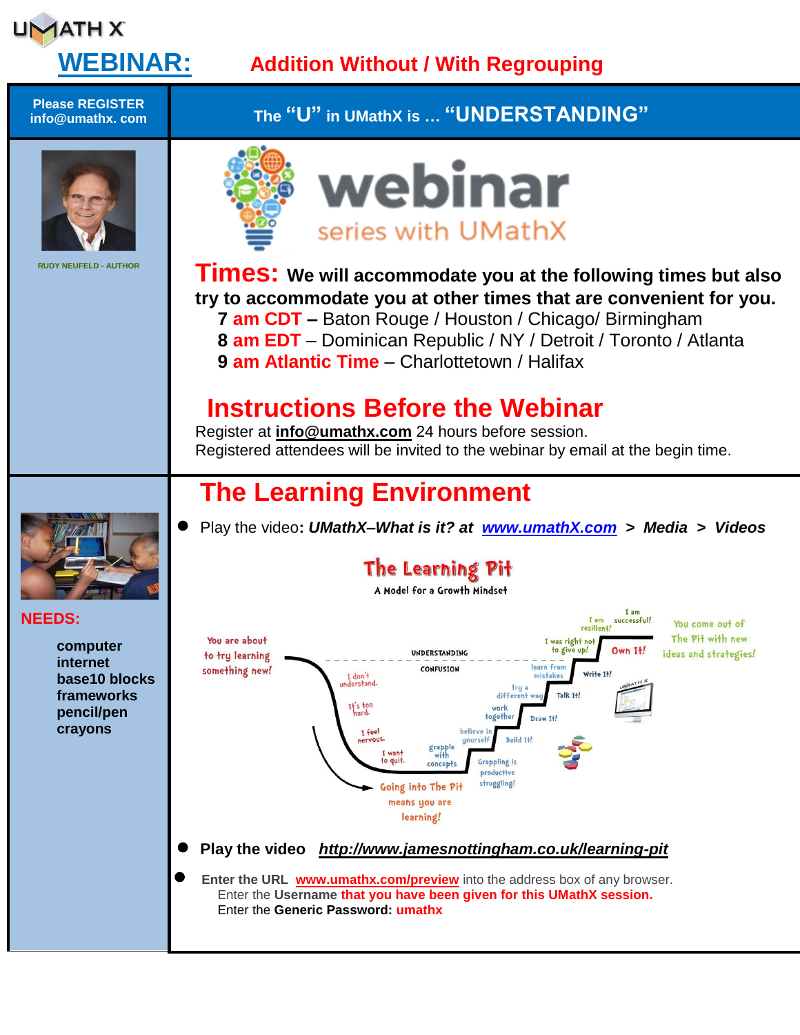

## **WEBINAR: Addition Without / With Regrouping**

**Please REGISTER info@umathx. com The "U" in UMathX is … "UNDERSTANDING"** webinar series with UMathX **RUDY NEUFELD - AUTHOR Times:** We will accommodate you at the following times but also **try to accommodate you at other times that are convenient for you. 7 am CDT –** Baton Rouge / Houston / Chicago/ Birmingham **8 am EDT** – Dominican Republic / NY / Detroit / Toronto / Atlanta **9 am Atlantic Time** – Charlottetown / Halifax  **Instructions Before the Webinar** Register at **[info@umathx.com](mailto:info@umathx.com)** 24 hours before session. Registered attendees will be invited to the webinar by email at the begin time. **The Learning Environment** Play the video**:** *UMathX–What is it? at [www.umathX.com](http://www.umathx.com/) > Media > Videos* The Learning Pit A Model for a Growth Mindset I am **NEEDS:**  $I$  am successful! You come out of resilien+! The Pit with new You are about I was right n **computer** to give up! UNDERSTANDING Own It! ideas and strategies! to try learning **internet** learn from something new! CONFUSION Write Tt I don't<br>derstand. **base10 blocks** tru **frameworks** differe Talk T+!  $H<sub>1</sub>$ s too **pencil/pen** togethe Draw It. **crayons** T feel Ruild 14 grapple<br>with Grappling is to quit. concept productive struggling! Going into The Pit means you are learning! **Play the video** *<http://www.jamesnottingham.co.uk/learning-pit>* **Enter the URL [www.umathx.com/preview](http://www.umathx.com/preview)** into the address box of any browser. Enter the **Username that you have been given for this UMathX session.** Enter the **Generic Password: umathx**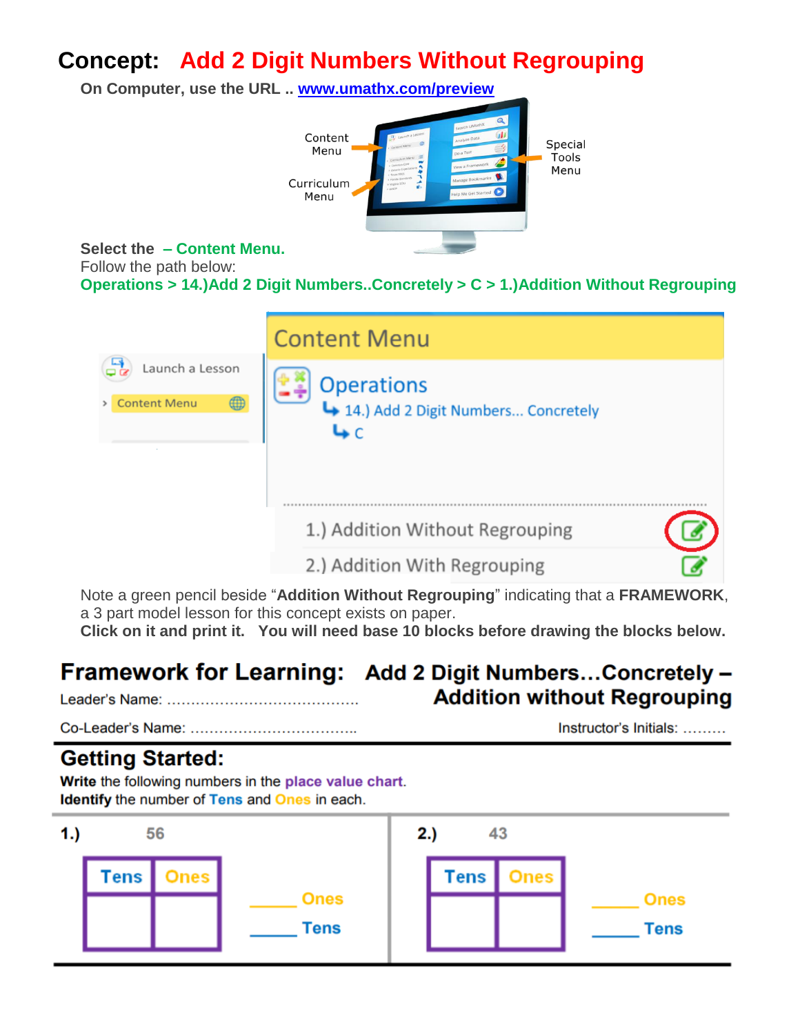# **Concept: Add 2 Digit Numbers Without Regrouping**

**On Computer, use the URL .. [www.umathx.com/preview](http://www.umathx.com/preview)**



**Select the – Content Menu.**

Follow the path below:

**Operations > 14.)Add 2 Digit Numbers..Concretely > C > 1.)Addition Without Regrouping**

|                          | <b>Content Menu</b>                   |  |
|--------------------------|---------------------------------------|--|
| Launch a Lesson          | <b>Operations</b>                     |  |
| ⊕<br><b>Content Menu</b> | 4 14.) Add 2 Digit Numbers Concretely |  |
|                          |                                       |  |
|                          |                                       |  |
|                          | 1.) Addition Without Regrouping       |  |
|                          | 2.) Addition With Regrouping          |  |

Note a green pencil beside "**Addition Without Regrouping**" indicating that a **FRAMEWORK**, a 3 part model lesson for this concept exists on paper.

**Click on it and print it. You will need base 10 blocks before drawing the blocks below.**

#### Framework for Learning: Add 2 Digit Numbers...Concretely -**Addition without Regrouping**

Instructor's Initials: .........

### **Getting Started:**

Write the following numbers in the place value chart. **Identify** the number of Tens and Ones in each.

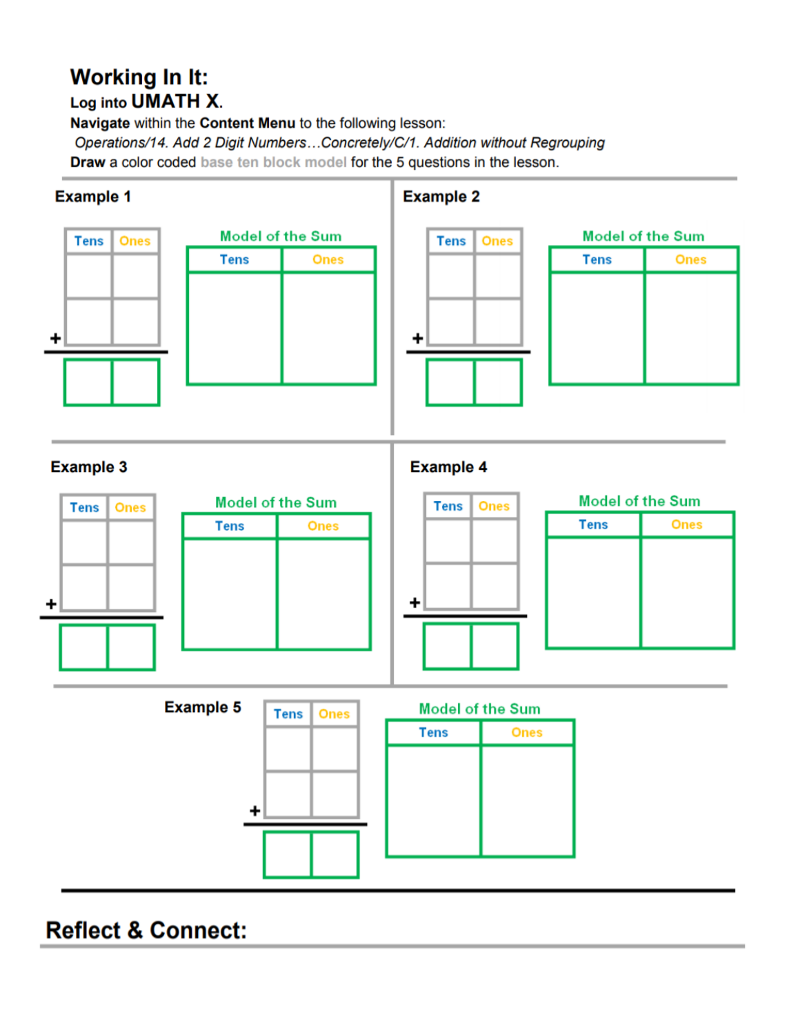### **Working In It:** Log into UMATH X.

Navigate within the Content Menu to the following lesson: Operations/14. Add 2 Digit Numbers...Concretely/C/1. Addition without Regrouping Draw a color coded base ten block model for the 5 questions in the lesson.



**Reflect & Connect:**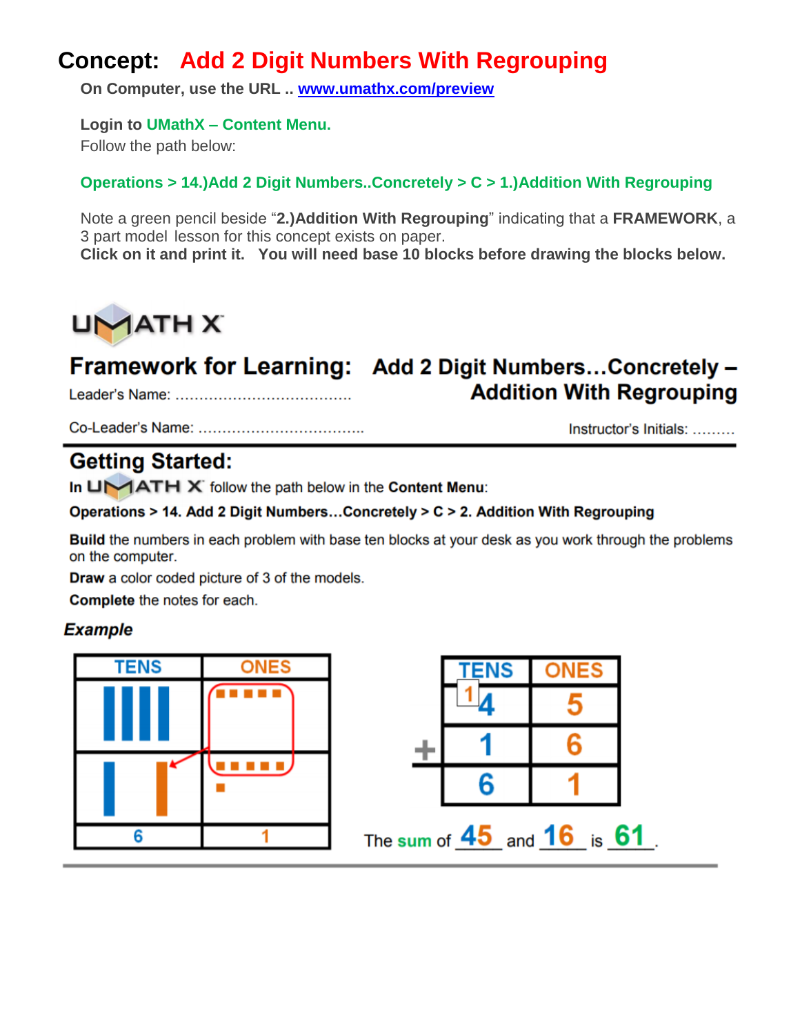# **Concept: Add 2 Digit Numbers With Regrouping**

**On Computer, use the URL .. [www.umathx.com/preview](http://www.umathx.com/preview)**

**Login to UMathX – Content Menu.**

Follow the path below:

### **Operations > 14.)Add 2 Digit Numbers..Concretely > C > 1.)Addition With Regrouping**

Note a green pencil beside "**2.)Addition With Regrouping**" indicating that a **FRAMEWORK**, a 3 part model lesson for this concept exists on paper.

**Click on it and print it. You will need base 10 blocks before drawing the blocks below.**



#### Framework for Learning: Add 2 Digit Numbers...Concretely -**Addition With Regrouping**

Instructor's Initials: ........

## **Getting Started:**

In  $U\setminus ATH \times$  follow the path below in the Content Menu:

Operations > 14. Add 2 Digit Numbers...Concretely > C > 2. Addition With Regrouping

Build the numbers in each problem with base ten blocks at your desk as you work through the problems on the computer.

**Draw** a color coded picture of 3 of the models.

**Complete** the notes for each.

### **Example**